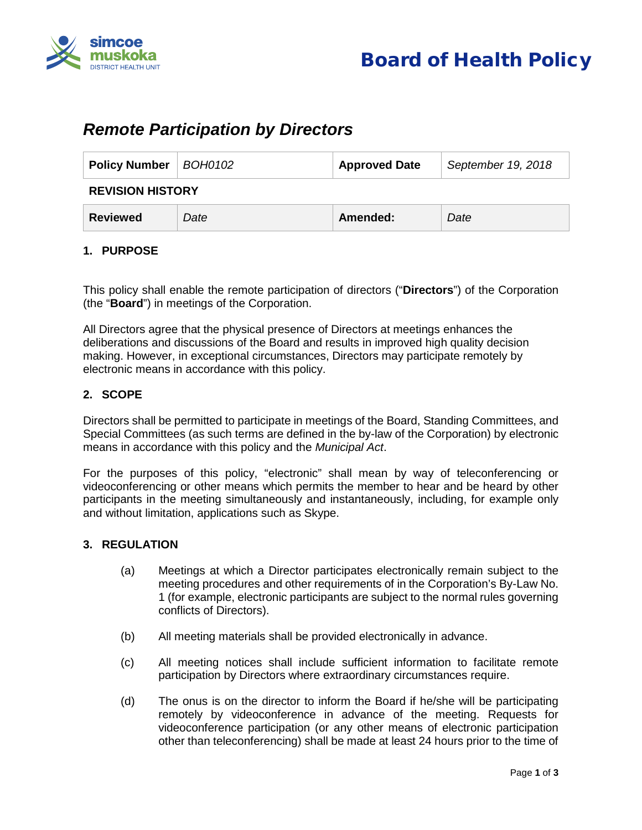

# *Remote Participation by Directors*

| Policy Number   BOH0102 |      | <b>Approved Date</b> | September 19, 2018 |
|-------------------------|------|----------------------|--------------------|
| <b>REVISION HISTORY</b> |      |                      |                    |
| Reviewed                | Date | Amended:             | Date               |

### **1. PURPOSE**

This policy shall enable the remote participation of directors ("**Directors**") of the Corporation (the "**Board**") in meetings of the Corporation.

All Directors agree that the physical presence of Directors at meetings enhances the deliberations and discussions of the Board and results in improved high quality decision making. However, in exceptional circumstances, Directors may participate remotely by electronic means in accordance with this policy.

#### **2. SCOPE**

Directors shall be permitted to participate in meetings of the Board, Standing Committees, and Special Committees (as such terms are defined in the by-law of the Corporation) by electronic means in accordance with this policy and the *Municipal Act*.

For the purposes of this policy, "electronic" shall mean by way of teleconferencing or videoconferencing or other means which permits the member to hear and be heard by other participants in the meeting simultaneously and instantaneously, including, for example only and without limitation, applications such as Skype.

#### **3. REGULATION**

- (a) Meetings at which a Director participates electronically remain subject to the meeting procedures and other requirements of in the Corporation's By-Law No. 1 (for example, electronic participants are subject to the normal rules governing conflicts of Directors).
- (b) All meeting materials shall be provided electronically in advance.
- (c) All meeting notices shall include sufficient information to facilitate remote participation by Directors where extraordinary circumstances require.
- (d) The onus is on the director to inform the Board if he/she will be participating remotely by videoconference in advance of the meeting. Requests for videoconference participation (or any other means of electronic participation other than teleconferencing) shall be made at least 24 hours prior to the time of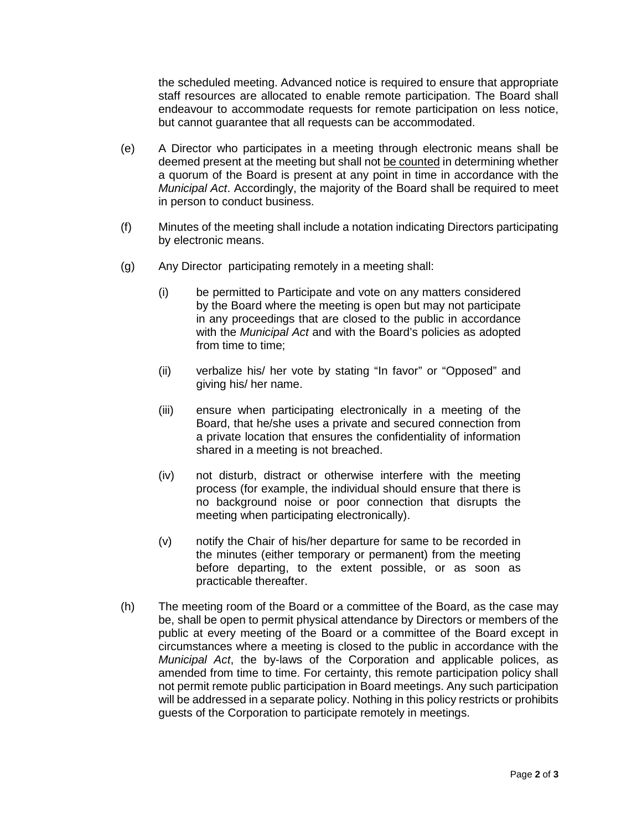the scheduled meeting. Advanced notice is required to ensure that appropriate staff resources are allocated to enable remote participation. The Board shall endeavour to accommodate requests for remote participation on less notice, but cannot guarantee that all requests can be accommodated.

- (e) A Director who participates in a meeting through electronic means shall be deemed present at the meeting but shall not be counted in determining whether a quorum of the Board is present at any point in time in accordance with the *Municipal Act*. Accordingly, the majority of the Board shall be required to meet in person to conduct business.
- (f) Minutes of the meeting shall include a notation indicating Directors participating by electronic means.
- (g) Any Director participating remotely in a meeting shall:
	- (i) be permitted to Participate and vote on any matters considered by the Board where the meeting is open but may not participate in any proceedings that are closed to the public in accordance with the *Municipal Act* and with the Board's policies as adopted from time to time;
	- (ii) verbalize his/ her vote by stating "In favor" or "Opposed" and giving his/ her name.
	- (iii) ensure when participating electronically in a meeting of the Board, that he/she uses a private and secured connection from a private location that ensures the confidentiality of information shared in a meeting is not breached.
	- (iv) not disturb, distract or otherwise interfere with the meeting process (for example, the individual should ensure that there is no background noise or poor connection that disrupts the meeting when participating electronically).
	- (v) notify the Chair of his/her departure for same to be recorded in the minutes (either temporary or permanent) from the meeting before departing, to the extent possible, or as soon as practicable thereafter.
- (h) The meeting room of the Board or a committee of the Board, as the case may be, shall be open to permit physical attendance by Directors or members of the public at every meeting of the Board or a committee of the Board except in circumstances where a meeting is closed to the public in accordance with the *Municipal Act*, the by-laws of the Corporation and applicable polices, as amended from time to time. For certainty, this remote participation policy shall not permit remote public participation in Board meetings. Any such participation will be addressed in a separate policy. Nothing in this policy restricts or prohibits guests of the Corporation to participate remotely in meetings.